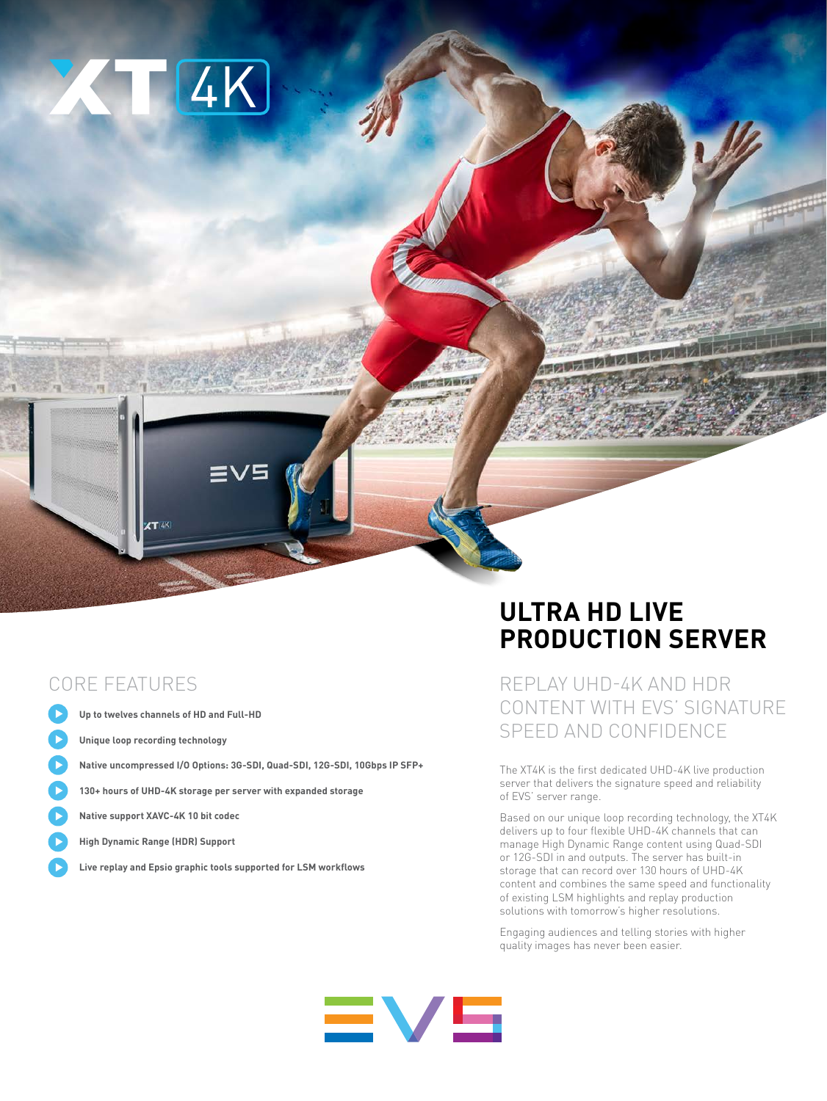

### CORE FEATURES

- **Up to twelves channels of HD and Full-HD**
- **Unique loop recording technology**
- **Native uncompressed I/O Options: 3G-SDI, Quad-SDI, 12G-SDI, 10Gbps IP SFP+**
- **130+ hours of UHD-4K storage per server with expanded storage**
- **Native support XAVC-4K 10 bit codec**
- **High Dynamic Range (HDR) Support**
- **Live replay and Epsio graphic tools supported for LSM workflows**

# **ULTRA HD LIVE PRODUCTION SERVER**

REPLAY UHD-4K AND HDR CONTENT WITH EVS' SIGNATURE SPEED AND CONFIDENCE

The XT4K is the first dedicated UHD-4K live production server that delivers the signature speed and reliability of EVS' server range.

Based on our unique loop recording technology, the XT4K delivers up to four flexible UHD-4K channels that can manage High Dynamic Range content using Quad-SDI or 12G-SDI in and outputs. The server has built-in storage that can record over 130 hours of UHD-4K content and combines the same speed and functionality of existing LSM highlights and replay production solutions with tomorrow's higher resolutions.

Engaging audiences and telling stories with higher quality images has never been easier.

# $\equiv$   $\vee$   $\equiv$